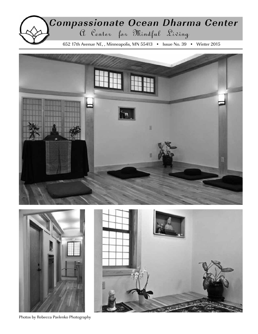# Compassionate Ocean Dharma Center 652 17th Avenue NE, , Minneapolis, MN 55413 • Issue No. 39 • Winter 2015







Photos by Rebecca Pavlenko Photography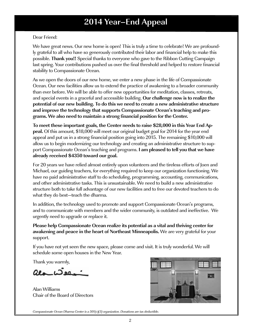## **2014 Year–End Appeal**

#### Dear Friend:

We have great news. Our new home is open! This is truly a time to celebrate! We are profoundly grateful to all who have so generously contributed their labor and financial help to make this possible. **Thank you!!** Special thanks to everyone who gave to the Ribbon Cutting Campaign last spring. Your contributions pushed us over the final threshold and helped to restore financial stability to Compassionate Ocean.

As we open the doors of our new home, we enter a new phase in the life of Compassionate Ocean. Our new facilities allow us to extend the practice of awakening to a broader community than ever before. We will be able to offer new opportunities for meditation, classes, retreats, and special events in a graceful and accessible building. **Our challenge now is to realize the potential of our new building. To do this we need to create a new administrative structure and improve the technology that supports Compassionate Ocean's teaching and programs. We also need to maintain a strong financial position for the Center.**

**To meet these important goals, the Center needs to raise \$28,000 in this Year End Appeal.** Of this amount, \$18,000 will meet our original budget goal for 2014 for the year end appeal and put us in a strong financial position going into 2015. The remaining \$10,000 will allow us to begin modernizing our technology and creating an administrative structure to support Compassionate Ocean's teaching and programs. **I am pleased to tell you that we have already received \$4350 toward our goal.**

For 20 years we have relied almost entirely upon volunteers and the tireless efforts of Joen and Michael, our guiding teachers, for everything required to keep our organization functioning. We have no paid administrative staff to do scheduling, programming, accounting, communications, and other administrative tasks. This is unsustainable. We need to build a new administrative structure both to take full advantage of our new facilities and to free our devoted teachers to do what they do best—teach the dharma.

In addition, the technology used to promote and support Compassionate Ocean's programs, and to communicate with members and the wider community, is outdated and ineffective. We urgently need to upgrade or replace it.

**Please help Compassionate Ocean realize its potential as a vital and thriving center for awakening and peace in the heart of Northeast Minneapolis.** We are very grateful for your support.

If you have not yet seen the new space, please come and visit. It is truly wonderful. We will schedule some open houses in the New Year.

Thank you warmly,

 $Q_{2}L2Q$ 

Alan Williams Chair of the Board of Directors



Compassionate Ocean Dharma Center is a 501(c)(3) organization. Donations are tax deductible.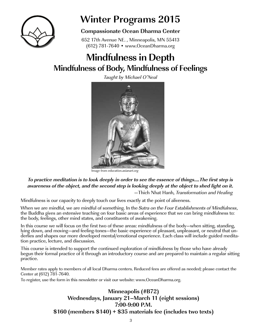

## **Winter Programs 2015**

## **Compassionate Ocean Dharma Center**

652 17th Avenue NE. , Minneapolis, MN 55413 (612) 781-7640 • www.OceanDharma.org

## **Mindfulness in Depth Mindfulness of Body, Mindfulness of Feelings**

Taught by Michael O'Neal



Image from education.asianart.org

**To practice meditation is to look deeply in order to see the essence of things….The first step is awareness of the object, and the second step is looking deeply at the object to shed light on it.** —Thich Nhat Hanh, Transformation and Healing

Mindfulness is our capacity to deeply touch our lives exactly at the point of aliveness.

When we are mindful, we are mindful of something. In the *Sutra on the Four Establishments of Mindfulness,*<br>the Buddha gives an extensive teaching on four basic areas of experience that we can bring mindfulness to: the body, feelings, other mind states, and constituents of awakening.

In this course we will focus on the first two of these areas: mindfulness of the body—when sitting, standing, lying down, and moving—and feeling-tones—the basic experience of pleasant, unpleasant, or neutral that un-<br>derlies and shapes our more developed mental/emotional experience. Each class will include guided medita-<br>tion prac

This course is intended to support the continued exploration of mindfulness by those who have already begun their formal practice of it through an introductory course and are prepared to maintain a regular sitting practice.

Member rates apply to members of all local Dharma centers. Reduced fees are offered as needed; please contact the Center at (612) 781-7640.

To register, use the form in this newsletter or visit our website: www.OceanDharma.org.

### **Minneapolis (#B72) Wednesdays, January 21–March 11 (eight sessions) 7:00-9:00 P.M. \$160 (members \$140) + \$35 materials fee (includes two texts)**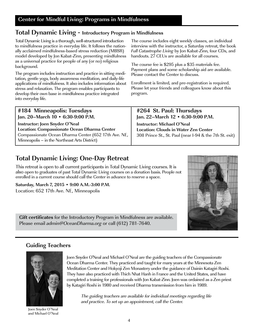## **Total Dynamic Living - Introductory Program in Mindfulness**

Total Dynamic Living is a thorough, well-structured introduction to mindfulness practice in everyday life. It follows the nationally acclaimed mindfulness-based stress reduction (MBSR) model developed by Jon Kabat-Zinn, presenting mindfulness as a universal practice for people of any (or no) religious background.

The program includes instruction and practice in sitting meditation, gentle yoga, body awareness meditation, and daily-life applications of mindfulness. It also includes information about stress and relaxation. The program enables participants to develop their own base in mindfulness practice integrated into everyday life.

The course includes eight weekly classes, an individual interview with the instructor, a Saturday retreat, the book Full Catastrophe Living by Jon Kabat-Zinn, four CDs, and handouts. 27 CEUs are available for all courses.

The course fee is \$295 plus a \$35 materials fee. Payment plans and some scholarship aid are available. Please contact the Center to discuss.

Enrollment is limited, and pre-registration is required. Please let your friends and colleagues know about this program.

| #184 Minneapolis: Tuesdays                           | #264 St. Paul: Thursdays                                |
|------------------------------------------------------|---------------------------------------------------------|
| Jan. 20-March 10 • 6:30-9:00 P.M.                    | Jan. 22-March 12 • 6:30-9:00 P.M.                       |
| Instructor: Joen Snyder O'Neal                       | <b>Instructor: Michael O'Neal</b>                       |
| Location: Compassionate Ocean Dharma Center          | <b>Location: Clouds in Water Zen Center</b>             |
| Compassionate Ocean Dharma Center (652 17th Ave. NE, | 308 Prince St., St. Paul (near I-94 & the 7th St. exit) |
| Minneapolis – in the Northeast Arts District)        |                                                         |

## **Total Dynamic Living: One-Day Retreat**

This retreat is open to all current participants in Total Dynamic Living courses. It is also open to graduates of past Total Dynamic Living courses on a donation basis. People not enrolled in a current course should call the Center in advance to reserve a space.

**Saturday, March 7, 2015 • 9:00 A.M.-3:00 P.M.**

Location: 652 17th Ave. NE, Minneapolis

**Gift certificates** for the Introductory Program in Mindfulness are available. Please email admin@OceanDharma.org or call (612) 781-7640.

## **Guiding Teachers**



Joen Snyder O'Neal and Michael O'Neal

Joen Snyder O'Neal and Michael O'Neal are the guiding teachers of the Compassionate Ocean Dharma Center. They practiced and taught for many years at the Minnesota Zen Meditation Center and Hokyoji Zen Monastery under the guidance of Dainin Katagiri Roshi. They have also practiced with Thich Nhat Hanh in France and the United States, and have completed a training for professionals with Jon Kabat-Zinn. Joen was ordained as a Zen priest by Katagiri Roshi in 1980 and received Dharma transmission from him in 1989.

The guiding teachers are available for individual meetings regarding life and practice. To set up an appointment, call the Center.

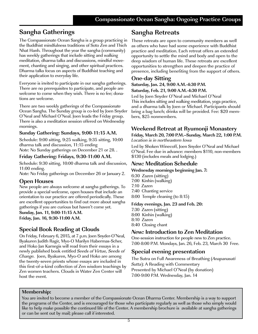## **Sangha Gatherings**

The Compassionate Ocean Sangha is a group practicing in the Buddhist mindfulness traditions of Soto Zen and Thich Nhat Hanh. Throughout the year the sangha (community) has weekly gatherings that include sitting and walking meditation, dharma talks and discussions, mindful movement, chanting and singing, and other spiritual practices. Dharma talks focus on aspects of Buddhist teaching and their application to everyday life.

Everyone is invited to participate in our sangha gatherings. There are no prerequisites to participate, and people are welcome to come when they wish. There is no fee; donations are welcome.

There are two weekly gatherings of the Compassionate Ocean Sangha. The Sunday group is co-led by Joen Snyder O'Neal and Michael O'Neal. Joen leads the Friday group. There is also a meditation session offered on Wednesday mornings.

#### **Sunday Gathering: Sundays, 9:00-11:15 A.M.**

Schedule: 9:00 sitting, 9:25 walking, 9:35 sitting, 10:00 dharma talk and discussion, 11:15 ending

Note: No Sunday gatherings on December 21 or 28. .

#### **Friday Gathering: Fridays, 9:30-11:00 A.M.**

Schedule: 9:30 sitting, 10:00 dharma talk and discussion, 11:00 ending.

Note: No Friday gatherings on December 26 or January 2.

#### **Open Houses**

New people are always welcome at sangha gatherings. To provide a special welcome, open houses that include an orientation to our practice are offered periodically. These are excellent opportunities to find out more about sangha gatherings if you are curious but haven't come yet.

## **Sunday, Jan. 11, 9:00-11:15 A.M.**

**Friday, Jan. 16, 9:30-11:00 A.M.**

### **Special Book Reading at Clouds**

On Friday, February 6, 2015, at 7 p.m. Joen Snyder-O'Neal, Byakuren Judith Ragir, Myo-O Marilyn Habermas-Scher, and Hoko Jan Karnegis will read from their essays in a newly published book entitled Seeds of Virtue, Seeds of Change. Joen, Byakuren, Myo-O and Hoko are among the twenty-seven priests whose essays are included in this first-of-a-kind collection of Zen wisdom teachings by Zen women teachers. Clouds in Water Zen Center will host the event.

## **Sangha Retreats**

These retreats are open to community members as well as others who have had some experience with Buddhist practice and meditation. Each retreat offers an extended opportunity to settle the mind and body and open to the deep wisdom of human life. These retreats are excellent opportunities to strengthen and deepen the practice of presence, including benefiting from the support of others.

### **One-day Sitting**

**Saturday, Jan. 24, 9:00 A.M.-4:30 P.M. Saturday, Feb. 21, 9:00 A.M.-4:30 P.M.** 

Led by Joen Snyder O'Neal and Michael O'Neal This includes sitting and walking meditation, yoga practice, and a dharma talk by Joen or Michael. Participants should bring a bag lunch; drinks will be provided. Fee: \$20 members, \$25 nonmembers.

### **Weekend Retreat at Ryumonji Monastery**

**Friday, March 20, 7:00 P.M.–Sunday, March 22, 1:00 P.M.** Location is in northeastern Iowa

Led by Shoken Winecoff, Joen Snyder O'Neal and Michael O'Neal. Fee due in advance: members \$110, non-members \$130 (includes meals and lodging.)

### **New: Meditation Schedule**

#### **Wednesday mornings beginning Jan. 7:**

- 6:30 Zazen (sitting)
- 7:00 Kinhin (walking)
	- 7:10 Zazen
	- 7:40 Chanting service
	- 8:00 Temple cleaning (to 8:15)

#### **Friday evenings, Jan. 23 and Feb. 20:**

- 7:30 Zazen (sitting)
- 8:00 Kinhin (walking)
- 8:10 Zazen
- 8:40 Closing chant

#### **New: Introduction to Zen Meditation**

One-session instruction for people new to Zen practice. 7:00-8:00 P.M. Mondays, Jan. 26, Feb. 23, March 30 Free.

#### **Special evening presentation**

The Sutra on Full Awareness of Breathing (Anapanasati Sutta): A Reading with Commentary Presented by Michael O'Neal (by donation) 7:00-9:00 P.M. Wednesday, Jan. 14

#### **Membership:**

You are invited to become a member of the Compassionate Ocean Dharma Center. Membership is a way to support the programs of the Center, and is encouraged for those who participate regularly as well as those who simply would like to help make possible the continued life of the Center. A membership brochure is available at sangha gatherings or can be sent out by mail; please call if interested.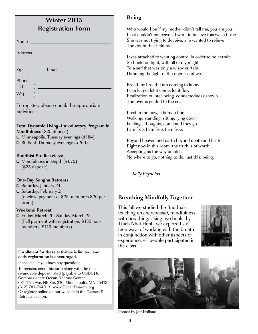| <b>Winter 2015</b><br><b>Registration Form</b>                                                                                                                                                                                                                                                                                                                                                                                                   |                                             |
|--------------------------------------------------------------------------------------------------------------------------------------------------------------------------------------------------------------------------------------------------------------------------------------------------------------------------------------------------------------------------------------------------------------------------------------------------|---------------------------------------------|
| Name                                                                                                                                                                                                                                                                                                                                                                                                                                             |                                             |
| Address <sub>—</sub>                                                                                                                                                                                                                                                                                                                                                                                                                             |                                             |
| $\mathsf{Zip}$ Email                                                                                                                                                                                                                                                                                                                                                                                                                             |                                             |
| Phone<br>H: (<br>W: (                                                                                                                                                                                                                                                                                                                                                                                                                            |                                             |
| To register, please check the appropriate<br>activities.                                                                                                                                                                                                                                                                                                                                                                                         |                                             |
| <b>Total Dynamic Living-Introductory Program in</b><br>Mindfulness (\$25 deposit)<br>$\Box$ Minneapolis, Tuesday evenings (#184)<br>$\Box$ St. Paul, Thursday evenings (#264)                                                                                                                                                                                                                                                                    |                                             |
| <b>Buddhist Studies class:</b><br>□ Mindfulness in Depth (#B72)<br>$($25$ deposit)                                                                                                                                                                                                                                                                                                                                                               |                                             |
| <b>One-Day Sangha Retreats</b><br>□ Saturday, January 24<br>□ Saturday, February 21<br>(enclose payment of \$25, members \$20 per<br>event)                                                                                                                                                                                                                                                                                                      | В                                           |
| <b>Weekend Retreat</b><br>□ Friday, March 20–Sunday, March 22<br>(Full payment with registration: \$130 non-<br>members, \$110 members)                                                                                                                                                                                                                                                                                                          | Tł<br>te<br>W<br>Tł<br>te<br>ın<br>еx<br>th |
| Enrollment for these activities is limited, and<br>early registration is encouraged.<br>Please call if you have any questions.<br>To register, send this form along with the non-<br>refundable deposit listed (payable to CODC) to:<br>Compassionate Ocean Dharma Center<br>681 17th Ave. NE Ste. 210, Minneapolis, MN 55413<br>(612) 781-7640 • www.OceanDharma.org<br>Or register online on our website in the Classes &<br>Retreats section. |                                             |

## **Being**

Who would I be if my mother didn't tell me, you are you I just couldn't conceive if I were to believe this wasn't true She was not trying to deceive, she wanted to relieve The doubt that held me.

I was attached to wanting control in order to be certain, So I held on tight, with all of my might To a self that was only a wispy curtain Dimming the light of the oneness of we.

Breath by breath I am coming to know I can let go, let it come, let it flow Realization of inter-being, connectedness shown The river is guided to the sea.

I rest in the now, a human I be Walking, standing, sitting, lying down Feelings, thoughts, come and they go I am free, I am free, I am free.

Beyond heaven and earth beyond death and birth Right now in this room, the truth is of worth Accepting as the way unfolds No where to go, nothing to do, just this: being.

Kelly Reynolds

## **Breathing Mindfully Together**

his fall we studied the Buddha's aching on *anapanasati*, mindfulness ith breathing. Using two books by hich Nhat Hanh, we explored sixen ways of working with the breath conjunction with other aspects of perience. 41 people participated in: ie class.





Photos by Jeff Holland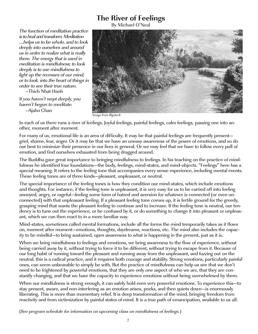## **The River of Feelings**

By Michael O'Neal

The function of meditation practice is to heal and transform. Meditation ….helps us to be whole, and to look deeply into ourselves and around us in order to realize what is really there. The energy that is used in meditation is mindfulness; to look deeply is to use mindfulness to light up the recesses of our mind, or to look. into the heart of things in order to see their true nature.

–Thich Nhat Hanh

If you haven't wept deeply, you haven't begun to meditate. –Ajahn Chan



Image from Bigstock

In each of us there runs a river of feelings. Joyful feelings, painful feelings, calm feelings, passing one into another, moment after moment.

For many of us, emotional life is an area of difficulty. It may be that painful feelings are frequently present grief, shame, fear, anger. Or it may be that we have an uneasy awareness of the power of emotions, and so do our best to minimize their presence in our lives in general. Or we may feel that we have to follow every pull of emotion, and find ourselves exhausted from being dragged around.

The Buddha gave great importance to bringing mindfulness to feelings. In his teaching on the practice of mindfulness he identified four foundations—the body, feelings, mind-states, and mind-objects. "Feelings" here has a special meaning. It refers to the feeling tone that accompanies every sense experience, including mental events. These feeling tones are of three kinds—pleasant, unpleasant, or neutral.

The special importance of the feeling tones is how they condition our mind-states, which include emotions and thoughts. For instance, if the feeling tone is unpleasant, it is very easy for us to be carried off into feeling annoyed, angry, or rageful—feeling some form of hatred and aversion for whatever is connected (or even unconnected) with that unpleasant feeling. If a pleasant feeling tone comes up, it is fertile ground for the greedy, grasping mind that wants the pleasant feeling to continue and to increase. If the feeling tone is neutral, our tendency is to tune out the experience, or be confused by it, or do something to change it into pleasant or unpleasant, which we can then react to in a more familiar way.

Mind-states, sometimes called mental formations, include all the forms the mind temporarily takes as it flows on, moment after moment—emotions, thoughts, daydreams, reactions, etc. The mind also includes the capacity to be mindful—to bring sustained, open awareness to what is happening in the present, just as it is.

When we bring mindfulness to feelings and emotions, we bring awareness to the flow of experience, without being carried away by it, without trying to force it to be different, without trying to escape from it. Because of our long habit of running toward the pleasant and running away from the unpleasant, and fuzzing out on the neutral, this is a radical practice, and it requires both courage and stability. Strong emotions, particularly painful ones, can seem unbearable to simply be with. But the practice of mindfulness can help us see that we don't need to be frightened by powerful emotions, that they are only one aspect of who we are, that they are constantly changing, and that we have the capacity to experience emotions without being overwhelmed by them.

When our mindfulness is strong enough, it can safely hold even very powerful emotions. To experience this—to stay present, aware, and non-interfering as an emotion arises, peeks, and then quiets down—is enormously liberating. This is more than momentary relief. It is deep transformation of the mind, bringing freedom from reactivity and from victimization by painful states of mind. It is a true path of emancipation, available to us all.

(See program schedule for information on upcoming class on mindfulness of feelings.)